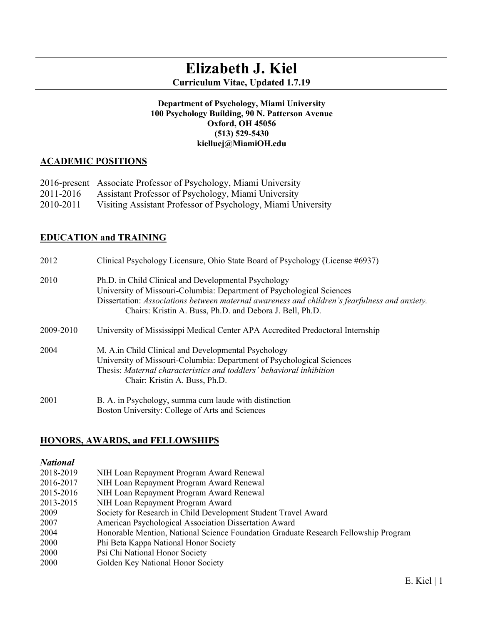# **Elizabeth J. Kiel Curriculum Vitae, Updated 1.7.19**

#### **Department of Psychology, Miami University 100 Psychology Building, 90 N. Patterson Avenue Oxford, OH 45056 (513) 529-5430 kielluej@MiamiOH.edu**

# **ACADEMIC POSITIONS**

|           | 2016-present Associate Professor of Psychology, Miami University |
|-----------|------------------------------------------------------------------|
| 2011-2016 | Assistant Professor of Psychology, Miami University              |
| 2010-2011 | Visiting Assistant Professor of Psychology, Miami University     |

# **EDUCATION and TRAINING**

| 2012      | Clinical Psychology Licensure, Ohio State Board of Psychology (License #6937)                                                                                                                                                                                                              |
|-----------|--------------------------------------------------------------------------------------------------------------------------------------------------------------------------------------------------------------------------------------------------------------------------------------------|
| 2010      | Ph.D. in Child Clinical and Developmental Psychology<br>University of Missouri-Columbia: Department of Psychological Sciences<br>Dissertation: Associations between maternal awareness and children's fearfulness and anxiety.<br>Chairs: Kristin A. Buss, Ph.D. and Debora J. Bell, Ph.D. |
| 2009-2010 | University of Mississippi Medical Center APA Accredited Predoctoral Internship                                                                                                                                                                                                             |
| 2004      | M. A. in Child Clinical and Developmental Psychology<br>University of Missouri-Columbia: Department of Psychological Sciences<br>Thesis: Maternal characteristics and toddlers' behavioral inhibition<br>Chair: Kristin A. Buss, Ph.D.                                                     |
| 2001      | B. A. in Psychology, summa cum laude with distinction<br>Boston University: College of Arts and Sciences                                                                                                                                                                                   |

# **HONORS, AWARDS, and FELLOWSHIPS**

#### *National*

- 2018-2019 NIH Loan Repayment Program Award Renewal
- 2016-2017 NIH Loan Repayment Program Award Renewal
- 2015-2016 NIH Loan Repayment Program Award Renewal
- 2013-2015 NIH Loan Repayment Program Award
- 2009 Society for Research in Child Development Student Travel Award
- 2007 American Psychological Association Dissertation Award
- 2004 Honorable Mention, National Science Foundation Graduate Research Fellowship Program
- 2000 Phi Beta Kappa National Honor Society
- 2000 Psi Chi National Honor Society
- 2000 Golden Key National Honor Society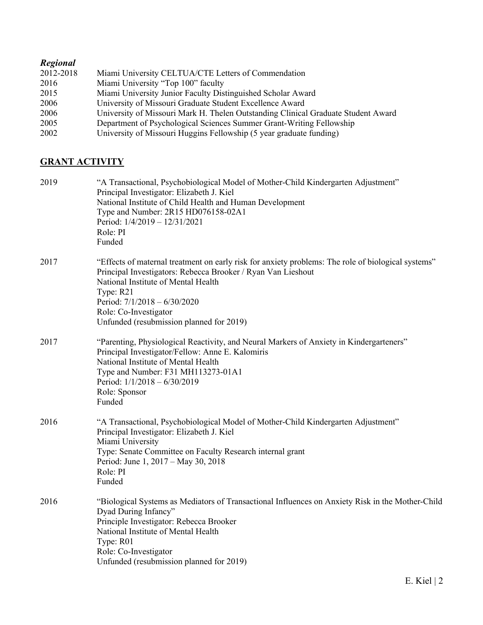# *Regional*

| 2012-2018 | Miami University CELTUA/CTE Letters of Commendation                               |
|-----------|-----------------------------------------------------------------------------------|
| 2016      | Miami University "Top 100" faculty                                                |
| 2015      | Miami University Junior Faculty Distinguished Scholar Award                       |
| 2006      | University of Missouri Graduate Student Excellence Award                          |
| 2006      | University of Missouri Mark H. Thelen Outstanding Clinical Graduate Student Award |
| 2005      | Department of Psychological Sciences Summer Grant-Writing Fellowship              |
| 2002      | University of Missouri Huggins Fellowship (5 year graduate funding)               |

# **GRANT ACTIVITY**

| 2019 | "A Transactional, Psychobiological Model of Mother-Child Kindergarten Adjustment"<br>Principal Investigator: Elizabeth J. Kiel<br>National Institute of Child Health and Human Development<br>Type and Number: 2R15 HD076158-02A1<br>Period: 1/4/2019 - 12/31/2021<br>Role: PI<br>Funded                                    |
|------|-----------------------------------------------------------------------------------------------------------------------------------------------------------------------------------------------------------------------------------------------------------------------------------------------------------------------------|
| 2017 | "Effects of maternal treatment on early risk for anxiety problems: The role of biological systems"<br>Principal Investigators: Rebecca Brooker / Ryan Van Lieshout<br>National Institute of Mental Health<br>Type: R21<br>Period: 7/1/2018 - 6/30/2020<br>Role: Co-Investigator<br>Unfunded (resubmission planned for 2019) |
| 2017 | "Parenting, Physiological Reactivity, and Neural Markers of Anxiety in Kindergarteners"<br>Principal Investigator/Fellow: Anne E. Kalomiris<br>National Institute of Mental Health<br>Type and Number: F31 MH113273-01A1<br>Period: 1/1/2018 - 6/30/2019<br>Role: Sponsor<br>Funded                                         |
| 2016 | "A Transactional, Psychobiological Model of Mother-Child Kindergarten Adjustment"<br>Principal Investigator: Elizabeth J. Kiel<br>Miami University<br>Type: Senate Committee on Faculty Research internal grant<br>Period: June 1, 2017 - May 30, 2018<br>Role: PI<br>Funded                                                |
| 2016 | "Biological Systems as Mediators of Transactional Influences on Anxiety Risk in the Mother-Child<br>Dyad During Infancy"<br>Principle Investigator: Rebecca Brooker<br>National Institute of Mental Health<br>Type: R01<br>Role: Co-Investigator<br>Unfunded (resubmission planned for 2019)                                |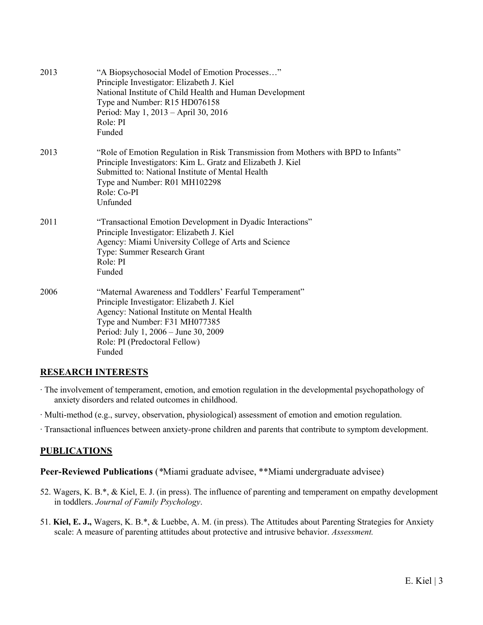| 2013 | "A Biopsychosocial Model of Emotion Processes"<br>Principle Investigator: Elizabeth J. Kiel<br>National Institute of Child Health and Human Development<br>Type and Number: R15 HD076158<br>Period: May 1, 2013 – April 30, 2016<br>Role: PI<br>Funded                 |
|------|------------------------------------------------------------------------------------------------------------------------------------------------------------------------------------------------------------------------------------------------------------------------|
| 2013 | "Role of Emotion Regulation in Risk Transmission from Mothers with BPD to Infants"<br>Principle Investigators: Kim L. Gratz and Elizabeth J. Kiel<br>Submitted to: National Institute of Mental Health<br>Type and Number: R01 MH102298<br>Role: Co-PI<br>Unfunded     |
| 2011 | "Transactional Emotion Development in Dyadic Interactions"<br>Principle Investigator: Elizabeth J. Kiel<br>Agency: Miami University College of Arts and Science<br>Type: Summer Research Grant<br>Role: PI<br>Funded                                                   |
| 2006 | "Maternal Awareness and Toddlers' Fearful Temperament"<br>Principle Investigator: Elizabeth J. Kiel<br>Agency: National Institute on Mental Health<br>Type and Number: F31 MH077385<br>Period: July 1, 2006 – June 30, 2009<br>Role: PI (Predoctoral Fellow)<br>Funded |

# **RESEARCH INTERESTS**

- ∙ The involvement of temperament, emotion, and emotion regulation in the developmental psychopathology of anxiety disorders and related outcomes in childhood.
- ∙ Multi-method (e.g., survey, observation, physiological) assessment of emotion and emotion regulation.
- ∙ Transactional influences between anxiety-prone children and parents that contribute to symptom development.

# **PUBLICATIONS**

**Peer-Reviewed Publications** (*\**Miami graduate advisee, \*\*Miami undergraduate advisee)

- 52. Wagers, K. B.\*, & Kiel, E. J. (in press). The influence of parenting and temperament on empathy development in toddlers. *Journal of Family Psychology*.
- 51. **Kiel, E. J.,** Wagers, K. B.\*, & Luebbe, A. M. (in press). The Attitudes about Parenting Strategies for Anxiety scale: A measure of parenting attitudes about protective and intrusive behavior. *Assessment.*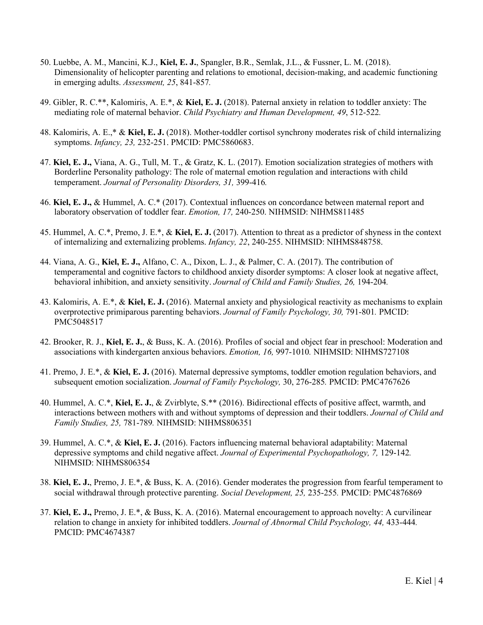- 50. Luebbe, A. M., Mancini, K.J., **Kiel, E. J.**, Spangler, B.R., Semlak, J.L., & Fussner, L. M. (2018). Dimensionality of helicopter parenting and relations to emotional, decision-making, and academic functioning in emerging adults. *Assessment, 25*, 841-857*.*
- 49. Gibler, R. C.\*\*, Kalomiris, A. E.\*, & **Kiel, E. J.** (2018). Paternal anxiety in relation to toddler anxiety: The mediating role of maternal behavior. *Child Psychiatry and Human Development, 49*, 512-522*.*
- 48. Kalomiris, A. E.,\* & **Kiel, E. J.** (2018). Mother-toddler cortisol synchrony moderates risk of child internalizing symptoms. *Infancy, 23,* 232-251. PMCID: PMC5860683.
- 47. **Kiel, E. J.,** Viana, A. G., Tull, M. T., & Gratz, K. L. (2017). Emotion socialization strategies of mothers with Borderline Personality pathology: The role of maternal emotion regulation and interactions with child temperament. *Journal of Personality Disorders, 31,* 399-416*.*
- 46. **Kiel, E. J.,** & Hummel, A. C.\* (2017). Contextual influences on concordance between maternal report and laboratory observation of toddler fear. *Emotion, 17,* 240-250. NIHMSID: NIHMS811485
- 45. Hummel, A. C.\*, Premo, J. E.\*, & **Kiel, E. J.** (2017). Attention to threat as a predictor of shyness in the context of internalizing and externalizing problems. *Infancy, 22*, 240-255. NIHMSID: NIHMS848758.
- 44. Viana, A. G., **Kiel, E. J.,** Alfano, C. A., Dixon, L. J., & Palmer, C. A. (2017). The contribution of temperamental and cognitive factors to childhood anxiety disorder symptoms: A closer look at negative affect, behavioral inhibition, and anxiety sensitivity. *Journal of Child and Family Studies, 26,* 194-204*.*
- 43. Kalomiris, A. E.\*, & **Kiel, E. J.** (2016). Maternal anxiety and physiological reactivity as mechanisms to explain overprotective primiparous parenting behaviors. *Journal of Family Psychology, 30,* 791-801*.* PMCID: PMC5048517
- 42. Brooker, R. J., **Kiel, E. J.**, & Buss, K. A. (2016). Profiles of social and object fear in preschool: Moderation and associations with kindergarten anxious behaviors. *Emotion, 16,* 997-1010*.* NIHMSID: NIHMS727108
- 41. Premo, J. E.\*, & **Kiel, E. J.** (2016). Maternal depressive symptoms, toddler emotion regulation behaviors, and subsequent emotion socialization. *Journal of Family Psychology,* 30, 276-285*.* PMCID: PMC4767626
- 40. Hummel, A. C.\*, **Kiel, E. J.**, & Zvirblyte, S.\*\* (2016). Bidirectional effects of positive affect, warmth, and interactions between mothers with and without symptoms of depression and their toddlers. *Journal of Child and Family Studies, 25,* 781-789*.* NIHMSID: NIHMS806351
- 39. Hummel, A. C.\*, & **Kiel, E. J.** (2016). Factors influencing maternal behavioral adaptability: Maternal depressive symptoms and child negative affect. *Journal of Experimental Psychopathology, 7,* 129-142*.* NIHMSID: NIHMS806354
- 38. **Kiel, E. J.**, Premo, J. E.\*, & Buss, K. A. (2016). Gender moderates the progression from fearful temperament to social withdrawal through protective parenting. *Social Development, 25,* 235-255*.* PMCID: PMC4876869
- 37. **Kiel, E. J.,** Premo, J. E.\*, & Buss, K. A. (2016). Maternal encouragement to approach novelty: A curvilinear relation to change in anxiety for inhibited toddlers. *Journal of Abnormal Child Psychology, 44,* 433-444*.* PMCID: PMC4674387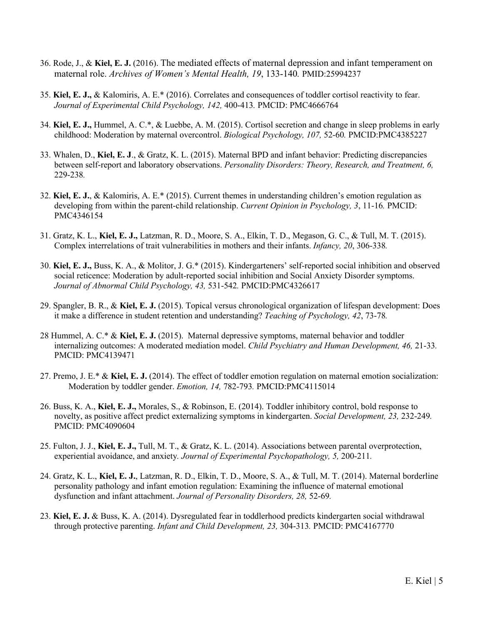- 36. Rode, J., & **Kiel, E. J.** (2016). The mediated effects of maternal depression and infant temperament on maternal role. *Archives of Women's Mental Health, 19*, 133-140*.* PMID:25994237
- 35. **Kiel, E. J.,** & Kalomiris, A. E.\* (2016). Correlates and consequences of toddler cortisol reactivity to fear. *Journal of Experimental Child Psychology, 142,* 400-413*.* PMCID: PMC4666764
- 34. **Kiel, E. J.,** Hummel, A. C.\*, & Luebbe, A. M. (2015). Cortisol secretion and change in sleep problems in early childhood: Moderation by maternal overcontrol. *Biological Psychology, 107,* 52-60*.* PMCID:PMC4385227
- 33. Whalen, D., **Kiel, E. J**., & Gratz, K. L. (2015). Maternal BPD and infant behavior: Predicting discrepancies between self-report and laboratory observations. *Personality Disorders: Theory, Research, and Treatment, 6,*  229-238*.*
- 32. **Kiel, E. J.**, & Kalomiris, A. E.\* (2015). Current themes in understanding children's emotion regulation as developing from within the parent-child relationship. *Current Opinion in Psychology, 3*, 11-16*.* PMCID: PMC4346154
- 31. Gratz, K. L., **Kiel, E. J.,** Latzman, R. D., Moore, S. A., Elkin, T. D., Megason, G. C., & Tull, M. T. (2015). Complex interrelations of trait vulnerabilities in mothers and their infants. *Infancy, 20*, 306-338*.*
- 30. **Kiel, E. J.,** Buss, K. A., & Molitor, J. G.\* (2015). Kindergarteners' self-reported social inhibition and observed social reticence: Moderation by adult-reported social inhibition and Social Anxiety Disorder symptoms. *Journal of Abnormal Child Psychology, 43,* 531-542*.* PMCID:PMC4326617
- 29. Spangler, B. R., & **Kiel, E. J.** (2015). Topical versus chronological organization of lifespan development: Does it make a difference in student retention and understanding? *Teaching of Psychology, 42*, 73-78*.*
- 28 Hummel, A. C.\* & **Kiel, E. J.** (2015). Maternal depressive symptoms, maternal behavior and toddler internalizing outcomes: A moderated mediation model. *Child Psychiatry and Human Development, 46,* 21-33*.* PMCID: PMC4139471
- 27. Premo, J. E.\* & **Kiel, E. J.** (2014). The effect of toddler emotion regulation on maternal emotion socialization: Moderation by toddler gender. *Emotion, 14,* 782-793*.* PMCID:PMC4115014
- 26. Buss, K. A., **Kiel, E. J.,** Morales, S., & Robinson, E. (2014). Toddler inhibitory control, bold response to novelty, as positive affect predict externalizing symptoms in kindergarten. *Social Development, 23,* 232-249*.* PMCID: PMC4090604
- 25. Fulton, J. J., **Kiel, E. J.,** Tull, M. T., & Gratz, K. L. (2014). Associations between parental overprotection, experiential avoidance, and anxiety*. Journal of Experimental Psychopathology, 5,* 200-211*.*
- 24. Gratz, K. L., **Kiel, E. J.**, Latzman, R. D., Elkin, T. D., Moore, S. A., & Tull, M. T. (2014). Maternal borderline personality pathology and infant emotion regulation: Examining the influence of maternal emotional dysfunction and infant attachment. *Journal of Personality Disorders, 28,* 52-69*.*
- 23. **Kiel, E. J.** & Buss, K. A. (2014). Dysregulated fear in toddlerhood predicts kindergarten social withdrawal through protective parenting. *Infant and Child Development, 23,* 304-313*.* PMCID: PMC4167770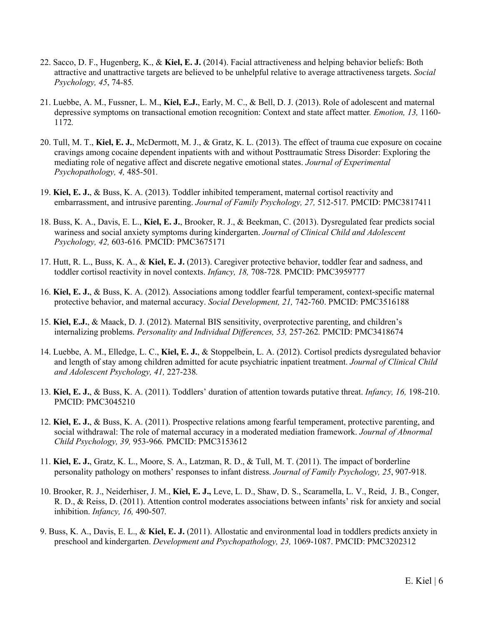- 22. Sacco, D. F., Hugenberg, K., & **Kiel, E. J.** (2014). Facial attractiveness and helping behavior beliefs: Both attractive and unattractive targets are believed to be unhelpful relative to average attractiveness targets. *Social Psychology, 45*, 74-85*.*
- 21. Luebbe, A. M., Fussner, L. M., **Kiel, E.J.**, Early, M. C., & Bell, D. J. (2013). Role of adolescent and maternal depressive symptoms on transactional emotion recognition: Context and state affect matter*. Emotion, 13,* 1160- 1172*.*
- 20. Tull, M. T., **Kiel, E. J.**, McDermott, M. J., & Gratz, K. L. (2013). The effect of trauma cue exposure on cocaine cravings among cocaine dependent inpatients with and without Posttraumatic Stress Disorder: Exploring the mediating role of negative affect and discrete negative emotional states. *Journal of Experimental Psychopathology, 4,* 485-501*.*
- 19. **Kiel, E. J.**, & Buss, K. A. (2013). Toddler inhibited temperament, maternal cortisol reactivity and embarrassment, and intrusive parenting. *Journal of Family Psychology, 27,* 512-517*.* PMCID: PMC3817411
- 18. Buss, K. A., Davis, E. L., **Kiel, E. J.**, Brooker, R. J., & Beekman, C. (2013). Dysregulated fear predicts social wariness and social anxiety symptoms during kindergarten. *Journal of Clinical Child and Adolescent Psychology, 42,* 603-616*.* PMCID: PMC3675171
- 17. Hutt, R. L., Buss, K. A., & **Kiel, E. J.** (2013). Caregiver protective behavior, toddler fear and sadness, and toddler cortisol reactivity in novel contexts. *Infancy, 18,* 708-728*.* PMCID: PMC3959777
- 16. **Kiel, E. J.**, & Buss, K. A. (2012). Associations among toddler fearful temperament, context-specific maternal protective behavior, and maternal accuracy. *Social Development, 21,* 742-760. PMCID: PMC3516188
- 15. **Kiel, E.J.**, & Maack, D. J. (2012). Maternal BIS sensitivity, overprotective parenting, and children's internalizing problems. *Personality and Individual Differences, 53,* 257-262*.* PMCID: PMC3418674
- 14. Luebbe, A. M., Elledge, L. C., **Kiel, E. J.**, & Stoppelbein, L. A. (2012). Cortisol predicts dysregulated behavior and length of stay among children admitted for acute psychiatric inpatient treatment. *Journal of Clinical Child and Adolescent Psychology, 41,* 227-238*.*
- 13. **Kiel, E. J.**, & Buss, K. A. (2011). Toddlers' duration of attention towards putative threat. *Infancy, 16,* 198-210. PMCID: PMC3045210
- 12. **Kiel, E. J.**, & Buss, K. A. (2011). Prospective relations among fearful temperament, protective parenting, and social withdrawal: The role of maternal accuracy in a moderated mediation framework. *Journal of Abnormal Child Psychology, 39,* 953-966*.* PMCID: PMC3153612
- 11. **Kiel, E. J.**, Gratz, K. L., Moore, S. A., Latzman, R. D., & Tull, M. T. (2011). The impact of borderline personality pathology on mothers' responses to infant distress. *Journal of Family Psychology, 25*, 907-918.
- 10. Brooker, R. J., Neiderhiser, J. M., **Kiel, E. J.,** Leve, L. D., Shaw, D. S., Scaramella, L. V., Reid, J. B., Conger, R. D., & Reiss, D. (2011). Attention control moderates associations between infants' risk for anxiety and social inhibition. *Infancy, 16,* 490-507*.*
- 9. Buss, K. A., Davis, E. L., & **Kiel, E. J.** (2011). Allostatic and environmental load in toddlers predicts anxiety in preschool and kindergarten. *Development and Psychopathology, 23,* 1069-1087. PMCID: PMC3202312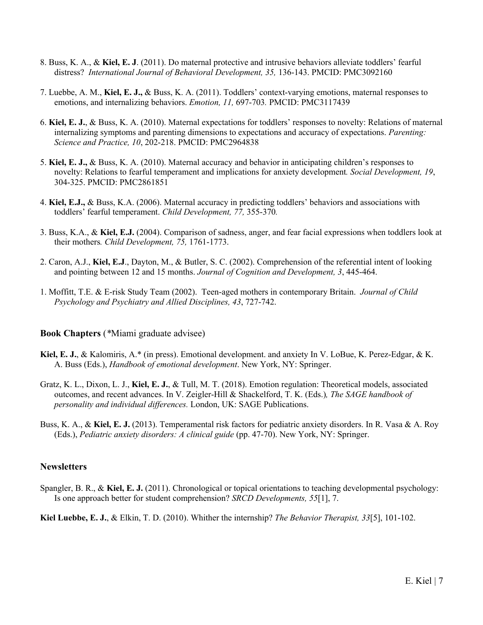- 8. Buss, K. A., & **Kiel, E. J**. (2011). Do maternal protective and intrusive behaviors alleviate toddlers' fearful distress? *International Journal of Behavioral Development, 35,* 136-143. PMCID: PMC3092160
- 7. Luebbe, A. M., **Kiel, E. J.,** & Buss, K. A. (2011). Toddlers' context-varying emotions, maternal responses to emotions, and internalizing behaviors. *Emotion, 11,* 697-703*.* PMCID: PMC3117439
- 6. **Kiel, E. J.**, & Buss, K. A. (2010). Maternal expectations for toddlers' responses to novelty: Relations of maternal internalizing symptoms and parenting dimensions to expectations and accuracy of expectations. *Parenting: Science and Practice, 10*, 202-218. PMCID: PMC2964838
- 5. **Kiel, E. J.,** & Buss, K. A. (2010). Maternal accuracy and behavior in anticipating children's responses to novelty: Relations to fearful temperament and implications for anxiety development*. Social Development, 19*, 304-325. PMCID: PMC2861851
- 4. **Kiel, E.J.,** & Buss, K.A. (2006). Maternal accuracy in predicting toddlers' behaviors and associations with toddlers' fearful temperament. *Child Development, 77,* 355-370*.*
- 3. Buss, K.A., & **Kiel, E.J.** (2004). Comparison of sadness, anger, and fear facial expressions when toddlers look at their mothers*. Child Development, 75,* 1761-1773.
- 2. Caron, A.J., **Kiel, E.J**., Dayton, M., & Butler, S. C. (2002). Comprehension of the referential intent of looking and pointing between 12 and 15 months. *Journal of Cognition and Development, 3*, 445-464.
- 1. Moffitt, T.E. & E-risk Study Team (2002). Teen-aged mothers in contemporary Britain. *Journal of Child Psychology and Psychiatry and Allied Disciplines, 43*, 727-742.

#### **Book Chapters** (*\**Miami graduate advisee)

- **Kiel, E. J.**, & Kalomiris, A.\* (in press). Emotional development. and anxiety In V. LoBue, K. Perez-Edgar, & K. A. Buss (Eds.), *Handbook of emotional development*. New York, NY: Springer.
- Gratz, K. L., Dixon, L. J., **Kiel, E. J.**, & Tull, M. T. (2018). Emotion regulation: Theoretical models, associated outcomes, and recent advances. In V. Zeigler-Hill & Shackelford, T. K. (Eds.)*, The SAGE handbook of personality and individual differences.* London, UK: SAGE Publications.
- Buss, K. A., & **Kiel, E. J.** (2013). Temperamental risk factors for pediatric anxiety disorders. In R. Vasa & A. Roy (Eds.), *Pediatric anxiety disorders: A clinical guide* (pp. 47-70). New York, NY: Springer.

#### **Newsletters**

Spangler, B. R., & **Kiel, E. J.** (2011). Chronological or topical orientations to teaching developmental psychology: Is one approach better for student comprehension? *SRCD Developments, 55*[1], 7.

**Kiel Luebbe, E. J.**, & Elkin, T. D. (2010). Whither the internship? *The Behavior Therapist, 33*[5], 101-102.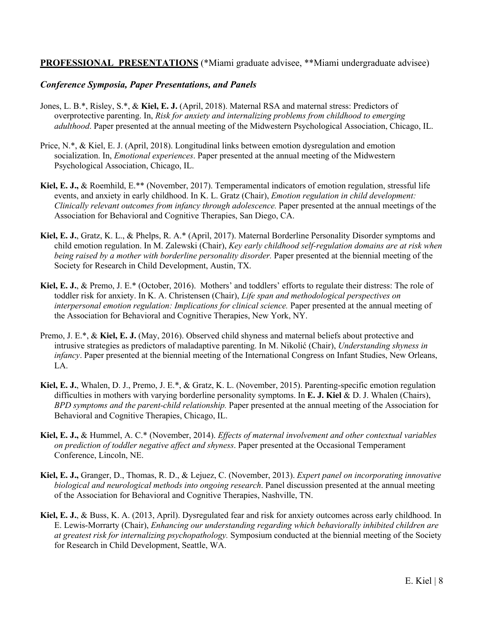# **PROFESSIONAL PRESENTATIONS** (\*Miami graduate advisee, \*\*Miami undergraduate advisee)

### *Conference Symposia, Paper Presentations, and Panels*

- Jones, L. B.\*, Risley, S.\*, & **Kiel, E. J.** (April, 2018). Maternal RSA and maternal stress: Predictors of overprotective parenting. In, *Risk for anxiety and internalizing problems from childhood to emerging adulthood*. Paper presented at the annual meeting of the Midwestern Psychological Association, Chicago, IL.
- Price, N.\*, & Kiel, E. J. (April, 2018). Longitudinal links between emotion dysregulation and emotion socialization. In, *Emotional experiences*. Paper presented at the annual meeting of the Midwestern Psychological Association, Chicago, IL.
- **Kiel, E. J.,** & Roemhild, E.\*\* (November, 2017). Temperamental indicators of emotion regulation, stressful life events, and anxiety in early childhood. In K. L. Gratz (Chair), *Emotion regulation in child development: Clinically relevant outcomes from infancy through adolescence.* Paper presented at the annual meetings of the Association for Behavioral and Cognitive Therapies, San Diego, CA.
- **Kiel, E. J.**, Gratz, K. L., & Phelps, R. A.\* (April, 2017). Maternal Borderline Personality Disorder symptoms and child emotion regulation. In M. Zalewski (Chair), *Key early childhood self-regulation domains are at risk when being raised by a mother with borderline personality disorder.* Paper presented at the biennial meeting of the Society for Research in Child Development, Austin, TX.
- **Kiel, E. J.**, & Premo, J. E.\* (October, 2016). Mothers' and toddlers' efforts to regulate their distress: The role of toddler risk for anxiety. In K. A. Christensen (Chair), *Life span and methodological perspectives on interpersonal emotion regulation: Implications for clinical science.* Paper presented at the annual meeting of the Association for Behavioral and Cognitive Therapies, New York, NY.
- Premo, J. E.\*, & **Kiel, E. J.** (May, 2016). Observed child shyness and maternal beliefs about protective and intrusive strategies as predictors of maladaptive parenting. In M. Nikolić (Chair), *Understanding shyness in infancy*. Paper presented at the biennial meeting of the International Congress on Infant Studies, New Orleans, LA.
- **Kiel, E. J.**, Whalen, D. J., Premo, J. E.\*, & Gratz, K. L. (November, 2015). Parenting-specific emotion regulation difficulties in mothers with varying borderline personality symptoms. In **E. J. Kiel** & D. J. Whalen (Chairs), *BPD symptoms and the parent-child relationship.* Paper presented at the annual meeting of the Association for Behavioral and Cognitive Therapies, Chicago, IL.
- **Kiel, E. J.,** & Hummel, A. C.\* (November, 2014). *Effects of maternal involvement and other contextual variables on prediction of toddler negative affect and shyness*. Paper presented at the Occasional Temperament Conference, Lincoln, NE.
- **Kiel, E. J.,** Granger, D., Thomas, R. D., & Lejuez, C. (November, 2013). *Expert panel on incorporating innovative biological and neurological methods into ongoing research*. Panel discussion presented at the annual meeting of the Association for Behavioral and Cognitive Therapies, Nashville, TN.
- **Kiel, E. J.**, & Buss, K. A. (2013, April). Dysregulated fear and risk for anxiety outcomes across early childhood. In E. Lewis-Morrarty (Chair), *Enhancing our understanding regarding which behaviorally inhibited children are at greatest risk for internalizing psychopathology.* Symposium conducted at the biennial meeting of the Society for Research in Child Development, Seattle, WA.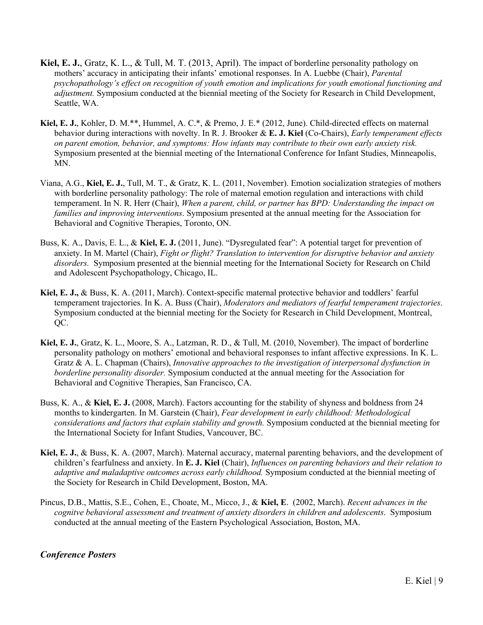- **Kiel, E. J.**, Gratz, K. L., & Tull, M. T. (2013, April). The impact of borderline personality pathology on mothers' accuracy in anticipating their infants' emotional responses. In A. Luebbe (Chair), *Parental psychopathology's effect on recognition of youth emotion and implications for youth emotional functioning and adjustment.* Symposium conducted at the biennial meeting of the Society for Research in Child Development, Seattle, WA.
- **Kiel, E. J.**, Kohler, D. M.\*\*, Hummel, A. C.\*, & Premo, J. E.\* (2012, June). Child-directed effects on maternal behavior during interactions with novelty. In R. J. Brooker & **E. J. Kiel** (Co-Chairs), *Early temperament effects on parent emotion, behavior, and symptoms: How infants may contribute to their own early anxiety risk.* Symposium presented at the biennial meeting of the International Conference for Infant Studies, Minneapolis, MN.
- Viana, A.G., **Kiel, E. J.**, Tull, M. T., & Gratz, K. L. (2011, November). Emotion socialization strategies of mothers with borderline personality pathology: The role of maternal emotion regulation and interactions with child temperament. In N. R. Herr (Chair), *When a parent, child, or partner has BPD: Understanding the impact on families and improving interventions*. Symposium presented at the annual meeting for the Association for Behavioral and Cognitive Therapies, Toronto, ON.
- Buss, K. A., Davis, E. L., & **Kiel, E. J.** (2011, June). "Dysregulated fear": A potential target for prevention of anxiety. In M. Martel (Chair), *Fight or flight? Translation to intervention for disruptive behavior and anxiety disorders.* Symposium presented at the biennial meeting for the International Society for Research on Child and Adolescent Psychopathology, Chicago, IL.
- **Kiel, E. J.,** & Buss, K. A. (2011, March). Context-specific maternal protective behavior and toddlers' fearful temperament trajectories. In K. A. Buss (Chair), *Moderators and mediators of fearful temperament trajectories*. Symposium conducted at the biennial meeting for the Society for Research in Child Development, Montreal, QC.
- **Kiel, E. J.**, Gratz, K. L., Moore, S. A., Latzman, R. D., & Tull, M. (2010, November). The impact of borderline personality pathology on mothers' emotional and behavioral responses to infant affective expressions. In K. L. Gratz & A. L. Chapman (Chairs), *Innovative approaches to the investigation of interpersonal dysfunction in borderline personality disorder.* Symposium conducted at the annual meeting for the Association for Behavioral and Cognitive Therapies, San Francisco, CA.
- Buss, K. A., & **Kiel, E. J.** (2008, March). Factors accounting for the stability of shyness and boldness from 24 months to kindergarten. In M. Garstein (Chair), *Fear development in early childhood: Methodological considerations and factors that explain stability and growth.* Symposium conducted at the biennial meeting for the International Society for Infant Studies, Vancouver, BC.
- **Kiel, E. J.**, & Buss, K. A. (2007, March). Maternal accuracy, maternal parenting behaviors, and the development of children's fearfulness and anxiety. In **E. J. Kiel** (Chair), *Influences on parenting behaviors and their relation to adaptive and maladaptive outcomes across early childhood.* Symposium conducted at the biennial meeting of the Society for Research in Child Development, Boston, MA.
- Pincus, D.B., Mattis, S.E., Cohen, E., Choate, M., Micco, J., & **Kiel, E**. (2002, March). *Recent advances in the cognitve behavioral assessment and treatment of anxiety disorders in children and adolescents*. Symposium conducted at the annual meeting of the Eastern Psychological Association, Boston, MA.

# *Conference Posters*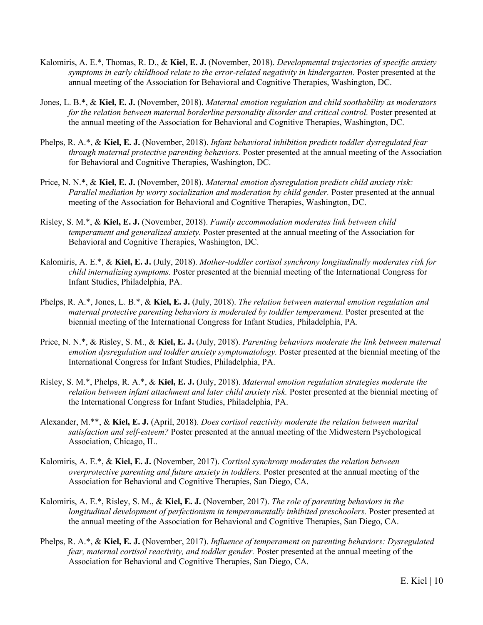- Kalomiris, A. E.\*, Thomas, R. D., & **Kiel, E. J.** (November, 2018). *Developmental trajectories of specific anxiety symptoms in early childhood relate to the error-related negativity in kindergarten.* Poster presented at the annual meeting of the Association for Behavioral and Cognitive Therapies, Washington, DC.
- Jones, L. B.\*, & **Kiel, E. J.** (November, 2018). *Maternal emotion regulation and child soothability as moderators for the relation between maternal borderline personality disorder and critical control.* Poster presented at the annual meeting of the Association for Behavioral and Cognitive Therapies, Washington, DC.
- Phelps, R. A.\*, & **Kiel, E. J.** (November, 2018). *Infant behavioral inhibition predicts toddler dysregulated fear through maternal protective parenting behaviors.* Poster presented at the annual meeting of the Association for Behavioral and Cognitive Therapies, Washington, DC.
- Price, N. N.\*, & **Kiel, E. J.** (November, 2018). *Maternal emotion dysregulation predicts child anxiety risk: Parallel mediation by worry socialization and moderation by child gender.* Poster presented at the annual meeting of the Association for Behavioral and Cognitive Therapies, Washington, DC.
- Risley, S. M.\*, & **Kiel, E. J.** (November, 2018). *Family accommodation moderates link between child temperament and generalized anxiety.* Poster presented at the annual meeting of the Association for Behavioral and Cognitive Therapies, Washington, DC.
- Kalomiris, A. E.\*, & **Kiel, E. J.** (July, 2018). *Mother-toddler cortisol synchrony longitudinally moderates risk for child internalizing symptoms.* Poster presented at the biennial meeting of the International Congress for Infant Studies, Philadelphia, PA.
- Phelps, R. A.\*, Jones, L. B.\*, & **Kiel, E. J.** (July, 2018). *The relation between maternal emotion regulation and maternal protective parenting behaviors is moderated by toddler temperament.* Poster presented at the biennial meeting of the International Congress for Infant Studies, Philadelphia, PA.
- Price, N. N.\*, & Risley, S. M., & **Kiel, E. J.** (July, 2018). *Parenting behaviors moderate the link between maternal emotion dysregulation and toddler anxiety symptomatology.* Poster presented at the biennial meeting of the International Congress for Infant Studies, Philadelphia, PA.
- Risley, S. M.\*, Phelps, R. A.\*, & **Kiel, E. J.** (July, 2018). *Maternal emotion regulation strategies moderate the relation between infant attachment and later child anxiety risk.* Poster presented at the biennial meeting of the International Congress for Infant Studies, Philadelphia, PA.
- Alexander, M.\*\*, & **Kiel, E. J.** (April, 2018). *Does cortisol reactivity moderate the relation between marital satisfaction and self-esteem?* Poster presented at the annual meeting of the Midwestern Psychological Association, Chicago, IL.
- Kalomiris, A. E.\*, & **Kiel, E. J.** (November, 2017). *Cortisol synchrony moderates the relation between overprotective parenting and future anxiety in toddlers.* Poster presented at the annual meeting of the Association for Behavioral and Cognitive Therapies, San Diego, CA.
- Kalomiris, A. E.\*, Risley, S. M., & **Kiel, E. J.** (November, 2017). *The role of parenting behaviors in the longitudinal development of perfectionism in temperamentally inhibited preschoolers.* Poster presented at the annual meeting of the Association for Behavioral and Cognitive Therapies, San Diego, CA.
- Phelps, R. A.\*, & **Kiel, E. J.** (November, 2017). *Influence of temperament on parenting behaviors: Dysregulated fear, maternal cortisol reactivity, and toddler gender.* Poster presented at the annual meeting of the Association for Behavioral and Cognitive Therapies, San Diego, CA.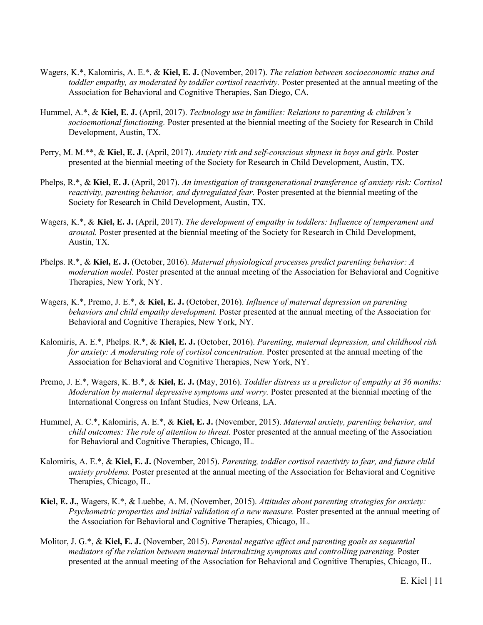- Wagers, K.\*, Kalomiris, A. E.\*, & **Kiel, E. J.** (November, 2017). *The relation between socioeconomic status and toddler empathy, as moderated by toddler cortisol reactivity.* Poster presented at the annual meeting of the Association for Behavioral and Cognitive Therapies, San Diego, CA.
- Hummel, A.\*, & **Kiel, E. J.** (April, 2017). *Technology use in families: Relations to parenting & children's socioemotional functioning.* Poster presented at the biennial meeting of the Society for Research in Child Development, Austin, TX.
- Perry, M. M.\*\*, & **Kiel, E. J.** (April, 2017). *Anxiety risk and self-conscious shyness in boys and girls.* Poster presented at the biennial meeting of the Society for Research in Child Development, Austin, TX.
- Phelps, R.\*, & **Kiel, E. J.** (April, 2017). *An investigation of transgenerational transference of anxiety risk: Cortisol reactivity, parenting behavior, and dysregulated fear.* Poster presented at the biennial meeting of the Society for Research in Child Development, Austin, TX.
- Wagers, K.\*, & **Kiel, E. J.** (April, 2017). *The development of empathy in toddlers: Influence of temperament and arousal.* Poster presented at the biennial meeting of the Society for Research in Child Development, Austin, TX.
- Phelps. R.\*, & **Kiel, E. J.** (October, 2016). *Maternal physiological processes predict parenting behavior: A moderation model.* Poster presented at the annual meeting of the Association for Behavioral and Cognitive Therapies, New York, NY.
- Wagers, K.\*, Premo, J. E.\*, & **Kiel, E. J.** (October, 2016). *Influence of maternal depression on parenting behaviors and child empathy development.* Poster presented at the annual meeting of the Association for Behavioral and Cognitive Therapies, New York, NY.
- Kalomiris, A. E.\*, Phelps. R.\*, & **Kiel, E. J.** (October, 2016). *Parenting, maternal depression, and childhood risk for anxiety: A moderating role of cortisol concentration.* Poster presented at the annual meeting of the Association for Behavioral and Cognitive Therapies, New York, NY.
- Premo, J. E.\*, Wagers, K. B.\*, & **Kiel, E. J.** (May, 2016). *Toddler distress as a predictor of empathy at 36 months: Moderation by maternal depressive symptoms and worry.* Poster presented at the biennial meeting of the International Congress on Infant Studies, New Orleans, LA.
- Hummel, A. C.\*, Kalomiris, A. E.\*, & **Kiel, E. J.** (November, 2015). *Maternal anxiety, parenting behavior, and child outcomes: The role of attention to threat.* Poster presented at the annual meeting of the Association for Behavioral and Cognitive Therapies, Chicago, IL.
- Kalomiris, A. E.\*, & **Kiel, E. J.** (November, 2015). *Parenting, toddler cortisol reactivity to fear, and future child anxiety problems.* Poster presented at the annual meeting of the Association for Behavioral and Cognitive Therapies, Chicago, IL.
- **Kiel, E. J.,** Wagers, K.\*, & Luebbe, A. M. (November, 2015). *Attitudes about parenting strategies for anxiety: Psychometric properties and initial validation of a new measure.* Poster presented at the annual meeting of the Association for Behavioral and Cognitive Therapies, Chicago, IL.
- Molitor, J. G.\*, & **Kiel, E. J.** (November, 2015). *Parental negative affect and parenting goals as sequential mediators of the relation between maternal internalizing symptoms and controlling parenting.* Poster presented at the annual meeting of the Association for Behavioral and Cognitive Therapies, Chicago, IL.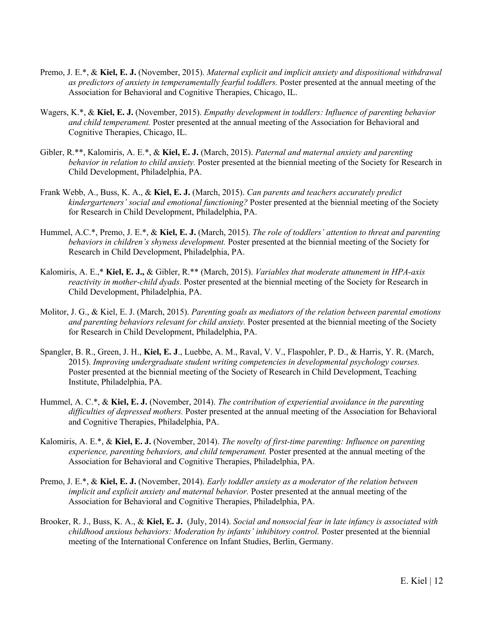- Premo, J. E.\*, & **Kiel, E. J.** (November, 2015). *Maternal explicit and implicit anxiety and dispositional withdrawal as predictors of anxiety in temperamentally fearful toddlers.* Poster presented at the annual meeting of the Association for Behavioral and Cognitive Therapies, Chicago, IL.
- Wagers, K.\*, & **Kiel, E. J.** (November, 2015). *Empathy development in toddlers: Influence of parenting behavior and child temperament.* Poster presented at the annual meeting of the Association for Behavioral and Cognitive Therapies, Chicago, IL.
- Gibler, R.\*\*, Kalomiris, A. E.\*, & **Kiel, E. J.** (March, 2015). *Paternal and maternal anxiety and parenting behavior in relation to child anxiety.* Poster presented at the biennial meeting of the Society for Research in Child Development, Philadelphia, PA.
- Frank Webb, A., Buss, K. A., & **Kiel, E. J.** (March, 2015). *Can parents and teachers accurately predict kindergarteners' social and emotional functioning?* Poster presented at the biennial meeting of the Society for Research in Child Development, Philadelphia, PA.
- Hummel, A.C.\*, Premo, J. E.\*, & **Kiel, E. J.** (March, 2015). *The role of toddlers' attention to threat and parenting behaviors in children's shyness development.* Poster presented at the biennial meeting of the Society for Research in Child Development, Philadelphia, PA.
- Kalomiris, A. E.,\* **Kiel, E. J.,** & Gibler, R.\*\* (March, 2015). *Variables that moderate attunement in HPA-axis reactivity in mother-child dyads.* Poster presented at the biennial meeting of the Society for Research in Child Development, Philadelphia, PA.
- Molitor, J. G., & Kiel, E. J. (March, 2015). *Parenting goals as mediators of the relation between parental emotions and parenting behaviors relevant for child anxiety.* Poster presented at the biennial meeting of the Society for Research in Child Development, Philadelphia, PA.
- Spangler, B. R., Green, J. H., **Kiel, E. J**., Luebbe, A. M., Raval, V. V., Flaspohler, P. D., & Harris, Y. R. (March, 2015). *Improving undergraduate student writing competencies in developmental psychology courses.*  Poster presented at the biennial meeting of the Society of Research in Child Development, Teaching Institute, Philadelphia, PA.
- Hummel, A. C.\*, & **Kiel, E. J.** (November, 2014). *The contribution of experiential avoidance in the parenting difficulties of depressed mothers.* Poster presented at the annual meeting of the Association for Behavioral and Cognitive Therapies, Philadelphia, PA.
- Kalomiris, A. E.\*, & **Kiel, E. J.** (November, 2014). *The novelty of first-time parenting: Influence on parenting experience, parenting behaviors, and child temperament.* Poster presented at the annual meeting of the Association for Behavioral and Cognitive Therapies, Philadelphia, PA.
- Premo, J. E.\*, & **Kiel, E. J.** (November, 2014). *Early toddler anxiety as a moderator of the relation between implicit and explicit anxiety and maternal behavior.* Poster presented at the annual meeting of the Association for Behavioral and Cognitive Therapies, Philadelphia, PA.
- Brooker, R. J., Buss, K. A., & **Kiel, E. J.** (July, 2014). *Social and nonsocial fear in late infancy is associated with childhood anxious behaviors: Moderation by infants' inhibitory control.* Poster presented at the biennial meeting of the International Conference on Infant Studies, Berlin, Germany.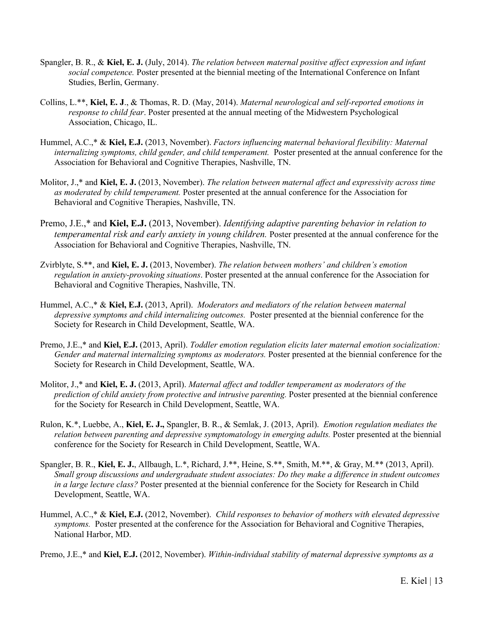- Spangler, B. R., & **Kiel, E. J.** (July, 2014). *The relation between maternal positive affect expression and infant social competence.* Poster presented at the biennial meeting of the International Conference on Infant Studies, Berlin, Germany.
- Collins, L.\*\*, **Kiel, E. J**., & Thomas, R. D. (May, 2014). *Maternal neurological and self-reported emotions in response to child fear*. Poster presented at the annual meeting of the Midwestern Psychological Association, Chicago, IL.
- Hummel, A.C.,\* & **Kiel, E.J.** (2013, November). *Factors influencing maternal behavioral flexibility: Maternal internalizing symptoms, child gender, and child temperament.* Poster presented at the annual conference for the Association for Behavioral and Cognitive Therapies, Nashville, TN.
- Molitor, J.,\* and **Kiel, E. J.** (2013, November). *The relation between maternal affect and expressivity across time as moderated by child temperament.* Poster presented at the annual conference for the Association for Behavioral and Cognitive Therapies, Nashville, TN.
- Premo, J.E.,\* and **Kiel, E.J.** (2013, November). *Identifying adaptive parenting behavior in relation to temperamental risk and early anxiety in young children.* Poster presented at the annual conference for the Association for Behavioral and Cognitive Therapies, Nashville, TN.
- Zvirblyte, S.\*\*, and **Kiel, E. J.** (2013, November). *The relation between mothers' and children's emotion regulation in anxiety-provoking situations*. Poster presented at the annual conference for the Association for Behavioral and Cognitive Therapies, Nashville, TN.
- Hummel, A.C.,\* & **Kiel, E.J.** (2013, April). *Moderators and mediators of the relation between maternal depressive symptoms and child internalizing outcomes.* Poster presented at the biennial conference for the Society for Research in Child Development, Seattle, WA.
- Premo, J.E.,\* and **Kiel, E.J.** (2013, April). *Toddler emotion regulation elicits later maternal emotion socialization: Gender and maternal internalizing symptoms as moderators.* Poster presented at the biennial conference for the Society for Research in Child Development, Seattle, WA.
- Molitor, J.,\* and **Kiel, E. J.** (2013, April). *Maternal affect and toddler temperament as moderators of the prediction of child anxiety from protective and intrusive parenting.* Poster presented at the biennial conference for the Society for Research in Child Development, Seattle, WA.
- Rulon, K.\*, Luebbe, A., **Kiel, E. J.,** Spangler, B. R., & Semlak, J. (2013, April). *Emotion regulation mediates the relation between parenting and depressive symptomatology in emerging adults.* Poster presented at the biennial conference for the Society for Research in Child Development, Seattle, WA.
- Spangler, B. R., **Kiel, E. J.**, Allbaugh, L.\*, Richard, J.\*\*, Heine, S.\*\*, Smith, M.\*\*, & Gray, M.\*\* (2013, April). *Small group discussions and undergraduate student associates: Do they make a difference in student outcomes in a large lecture class?* Poster presented at the biennial conference for the Society for Research in Child Development, Seattle, WA.
- Hummel, A.C.,\* & **Kiel, E.J.** (2012, November). *Child responses to behavior of mothers with elevated depressive symptoms.* Poster presented at the conference for the Association for Behavioral and Cognitive Therapies, National Harbor, MD.

Premo, J.E.,\* and **Kiel, E.J.** (2012, November). *Within-individual stability of maternal depressive symptoms as a*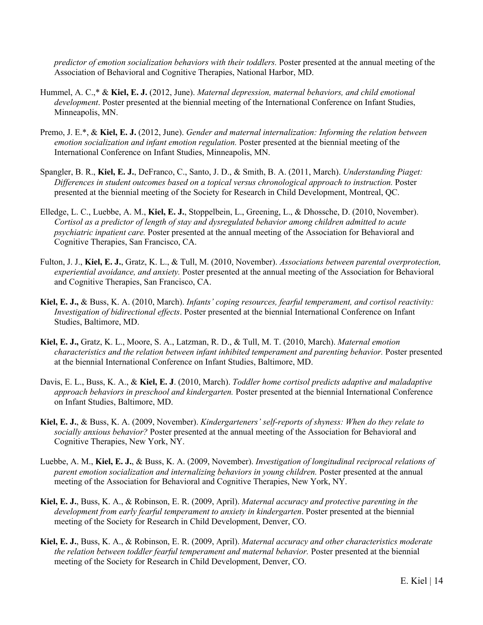*predictor of emotion socialization behaviors with their toddlers.* Poster presented at the annual meeting of the Association of Behavioral and Cognitive Therapies, National Harbor, MD.

- Hummel, A. C.,\* & **Kiel, E. J.** (2012, June). *Maternal depression, maternal behaviors, and child emotional development*. Poster presented at the biennial meeting of the International Conference on Infant Studies, Minneapolis, MN.
- Premo, J. E.\*, & **Kiel, E. J.** (2012, June). *Gender and maternal internalization: Informing the relation between emotion socialization and infant emotion regulation.* Poster presented at the biennial meeting of the International Conference on Infant Studies, Minneapolis, MN.
- Spangler, B. R., **Kiel, E. J.**, DeFranco, C., Santo, J. D., & Smith, B. A. (2011, March). *Understanding Piaget: Differences in student outcomes based on a topical versus chronological approach to instruction.* Poster presented at the biennial meeting of the Society for Research in Child Development, Montreal, QC.
- Elledge, L. C., Luebbe, A. M., **Kiel, E. J.**, Stoppelbein, L., Greening, L., & Dhossche, D. (2010, November). *Cortisol as a predictor of length of stay and dysregulated behavior among children admitted to acute psychiatric inpatient care.* Poster presented at the annual meeting of the Association for Behavioral and Cognitive Therapies, San Francisco, CA.
- Fulton, J. J., **Kiel, E. J.**, Gratz, K. L., & Tull, M. (2010, November). *Associations between parental overprotection, experiential avoidance, and anxiety.* Poster presented at the annual meeting of the Association for Behavioral and Cognitive Therapies, San Francisco, CA.
- **Kiel, E. J.,** & Buss, K. A. (2010, March). *Infants' coping resources, fearful temperament, and cortisol reactivity: Investigation of bidirectional effects*. Poster presented at the biennial International Conference on Infant Studies, Baltimore, MD.
- **Kiel, E. J.,** Gratz, K. L., Moore, S. A., Latzman, R. D., & Tull, M. T. (2010, March). *Maternal emotion characteristics and the relation between infant inhibited temperament and parenting behavior.* Poster presented at the biennial International Conference on Infant Studies, Baltimore, MD.
- Davis, E. L., Buss, K. A., & **Kiel, E. J**. (2010, March). *Toddler home cortisol predicts adaptive and maladaptive approach behaviors in preschool and kindergarten.* Poster presented at the biennial International Conference on Infant Studies, Baltimore, MD.
- **Kiel, E. J.**, & Buss, K. A. (2009, November). *Kindergarteners' self-reports of shyness: When do they relate to socially anxious behavior?* Poster presented at the annual meeting of the Association for Behavioral and Cognitive Therapies, New York, NY.
- Luebbe, A. M., **Kiel, E. J.**, & Buss, K. A. (2009, November). *Investigation of longitudinal reciprocal relations of parent emotion socialization and internalizing behaviors in young children.* Poster presented at the annual meeting of the Association for Behavioral and Cognitive Therapies, New York, NY.
- **Kiel, E. J.**, Buss, K. A., & Robinson, E. R. (2009, April). *Maternal accuracy and protective parenting in the development from early fearful temperament to anxiety in kindergarten*. Poster presented at the biennial meeting of the Society for Research in Child Development, Denver, CO.
- **Kiel, E. J.**, Buss, K. A., & Robinson, E. R. (2009, April). *Maternal accuracy and other characteristics moderate the relation between toddler fearful temperament and maternal behavior.* Poster presented at the biennial meeting of the Society for Research in Child Development, Denver, CO.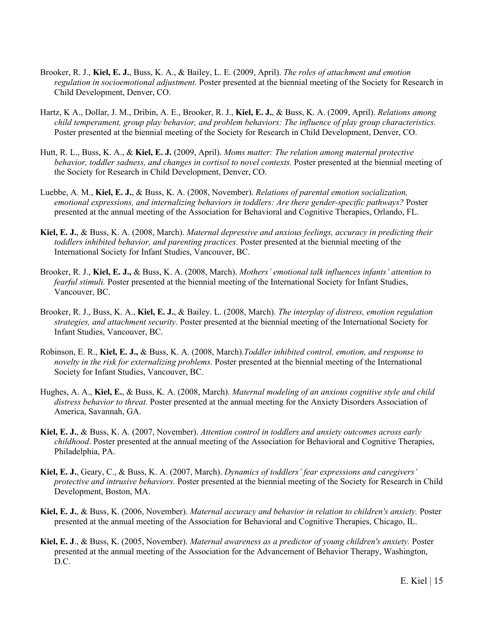- Brooker, R. J., **Kiel, E. J.**, Buss, K. A., & Bailey, L. E. (2009, April). *The roles of attachment and emotion regulation in socioemotional adjustment.* Poster presented at the biennial meeting of the Society for Research in Child Development, Denver, CO.
- Hartz, K A., Dollar, J. M., Dribin, A. E., Brooker, R. J., **Kiel, E. J.**, & Buss, K. A. (2009, April). *Relations among child temperament, group play behavior, and problem behaviors: The influence of play group characteristics.*  Poster presented at the biennial meeting of the Society for Research in Child Development, Denver, CO.
- Hutt, R. L., Buss, K. A., & **Kiel, E. J.** (2009, April). *Moms matter: The relation among maternal protective behavior, toddler sadness, and changes in cortisol to novel contexts.* Poster presented at the biennial meeting of the Society for Research in Child Development, Denver, CO.
- Luebbe, A. M., **Kiel, E. J.**, & Buss, K. A. (2008, November). *Relations of parental emotion socialization, emotional expressions, and internalizing behaviors in toddlers: Are there gender-specific pathways?* Poster presented at the annual meeting of the Association for Behavioral and Cognitive Therapies, Orlando, FL.
- **Kiel, E. J.**, & Buss, K. A. (2008, March). *Maternal depressive and anxious feelings, accuracy in predicting their toddlers inhibited behavior, and parenting practices.* Poster presented at the biennial meeting of the International Society for Infant Studies, Vancouver, BC.
- Brooker, R. J., **Kiel, E. J.,** & Buss, K. A. (2008, March). *Mothers' emotional talk influences infants' attention to fearful stimuli.* Poster presented at the biennial meeting of the International Society for Infant Studies, Vancouver, BC.
- Brooker, R. J., Buss, K. A., **Kiel, E. J.**, & Bailey. L. (2008, March). *The interplay of distress, emotion regulation strategies, and attachment security.* Poster presented at the biennial meeting of the International Society for Infant Studies, Vancouver, BC.
- Robinson, E. R., **Kiel, E. J.,** & Buss, K. A. (2008, March).*Toddler inhibited control, emotion, and response to novelty in the risk for externalizing problems.* Poster presented at the biennial meeting of the International Society for Infant Studies, Vancouver, BC.
- Hughes, A. A., **Kiel, E.**, & Buss, K. A. (2008, March). *Maternal modeling of an anxious cognitive style and child distress behavior to threat.* Poster presented at the annual meeting for the Anxiety Disorders Association of America, Savannah, GA.
- **Kiel, E. J.**, & Buss, K. A. (2007, November). *Attention control in toddlers and anxiety outcomes across early childhood*. Poster presented at the annual meeting of the Association for Behavioral and Cognitive Therapies, Philadelphia, PA.
- **Kiel, E. J.**, Geary, C., & Buss, K. A. (2007, March). *Dynamics of toddlers' fear expressions and caregivers' protective and intrusive behaviors.* Poster presented at the biennial meeting of the Society for Research in Child Development, Boston, MA.
- **Kiel, E. J.**, & Buss, K. (2006, November). *Maternal accuracy and behavior in relation to children's anxiety.* Poster presented at the annual meeting of the Association for Behavioral and Cognitive Therapies, Chicago, IL.
- **Kiel, E. J**., & Buss, K. (2005, November). *Maternal awareness as a predictor of young children's anxiety.* Poster presented at the annual meeting of the Association for the Advancement of Behavior Therapy, Washington, D.C.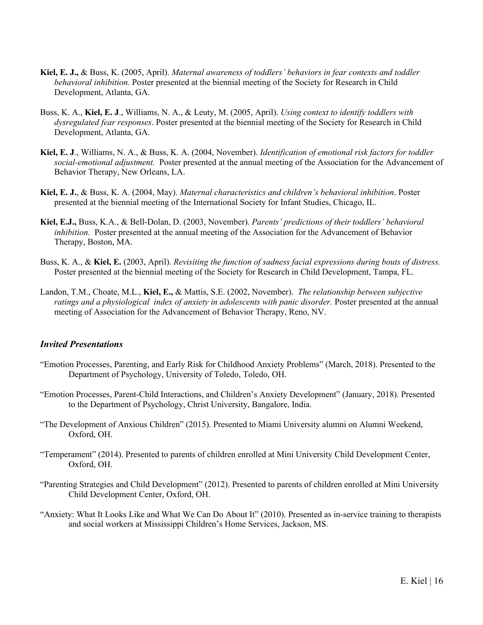- **Kiel, E. J.,** & Buss, K. (2005, April). *Maternal awareness of toddlers' behaviors in fear contexts and toddler behavioral inhibition.* Poster presented at the biennial meeting of the Society for Research in Child Development, Atlanta, GA.
- Buss, K. A., **Kiel, E. J**., Williams, N. A., & Leuty, M. (2005, April). *Using context to identify toddlers with dysregulated fear responses*. Poster presented at the biennial meeting of the Society for Research in Child Development, Atlanta, GA.
- **Kiel, E. J**., Williams, N. A., & Buss, K. A. (2004, November). *Identification of emotional risk factors for toddler social-emotional adjustment.* Poster presented at the annual meeting of the Association for the Advancement of Behavior Therapy, New Orleans, LA.
- **Kiel, E. J.**, & Buss, K. A. (2004, May). *Maternal characteristics and children's behavioral inhibition*. Poster presented at the biennial meeting of the International Society for Infant Studies, Chicago, IL.
- **Kiel, E.J.,** Buss, K.A., & Bell-Dolan, D. (2003, November). *Parents' predictions of their toddlers' behavioral inhibition*. Poster presented at the annual meeting of the Association for the Advancement of Behavior Therapy, Boston, MA.
- Buss, K. A., & **Kiel, E.** (2003, April). *Revisiting the function of sadness facial expressions during bouts of distress.* Poster presented at the biennial meeting of the Society for Research in Child Development, Tampa, FL.
- Landon, T.M., Choate, M.L., **Kiel, E.,** & Mattis, S.E. (2002, November). *The relationship between subjective ratings and a physiological index of anxiety in adolescents with panic disorder.* Poster presented at the annual meeting of Association for the Advancement of Behavior Therapy, Reno, NV.

#### *Invited Presentations*

- "Emotion Processes, Parenting, and Early Risk for Childhood Anxiety Problems" (March, 2018). Presented to the Department of Psychology, University of Toledo, Toledo, OH.
- "Emotion Processes, Parent-Child Interactions, and Children's Anxiety Development" (January, 2018). Presented to the Department of Psychology, Christ University, Bangalore, India.
- "The Development of Anxious Children" (2015). Presented to Miami University alumni on Alumni Weekend, Oxford, OH.
- "Temperament" (2014). Presented to parents of children enrolled at Mini University Child Development Center, Oxford, OH.
- "Parenting Strategies and Child Development" (2012). Presented to parents of children enrolled at Mini University Child Development Center, Oxford, OH.
- "Anxiety: What It Looks Like and What We Can Do About It" (2010). Presented as in-service training to therapists and social workers at Mississippi Children's Home Services, Jackson, MS.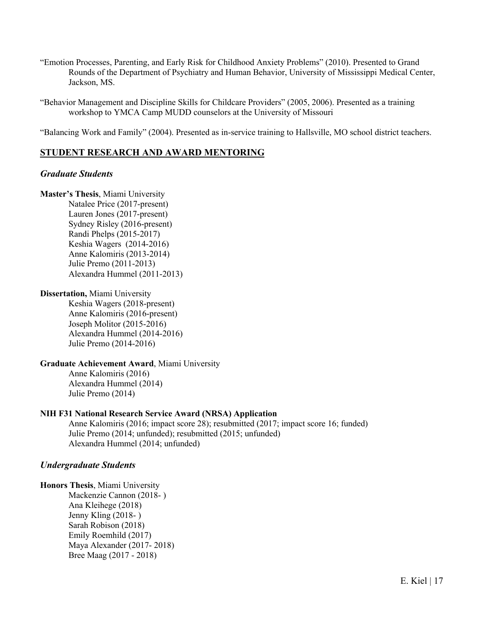"Emotion Processes, Parenting, and Early Risk for Childhood Anxiety Problems" (2010). Presented to Grand Rounds of the Department of Psychiatry and Human Behavior, University of Mississippi Medical Center, Jackson, MS.

"Behavior Management and Discipline Skills for Childcare Providers" (2005, 2006). Presented as a training workshop to YMCA Camp MUDD counselors at the University of Missouri

"Balancing Work and Family" (2004). Presented as in-service training to Hallsville, MO school district teachers.

# **STUDENT RESEARCH AND AWARD MENTORING**

# *Graduate Students*

**Master's Thesis**, Miami University Natalee Price (2017-present) Lauren Jones (2017-present) Sydney Risley (2016-present) Randi Phelps (2015-2017) Keshia Wagers (2014-2016) Anne Kalomiris (2013-2014) Julie Premo (2011-2013) Alexandra Hummel (2011-2013)

**Dissertation,** Miami University

Keshia Wagers (2018-present) Anne Kalomiris (2016-present) Joseph Molitor (2015-2016) Alexandra Hummel (2014-2016) Julie Premo (2014-2016)

#### **Graduate Achievement Award**, Miami University

Anne Kalomiris (2016) Alexandra Hummel (2014) Julie Premo (2014)

#### **NIH F31 National Research Service Award (NRSA) Application**

Anne Kalomiris (2016; impact score 28); resubmitted (2017; impact score 16; funded) Julie Premo (2014; unfunded); resubmitted (2015; unfunded) Alexandra Hummel (2014; unfunded)

#### *Undergraduate Students*

**Honors Thesis**, Miami University Mackenzie Cannon (2018- ) Ana Kleihege (2018) Jenny Kling (2018- ) Sarah Robison (2018) Emily Roemhild (2017) Maya Alexander (2017- 2018) Bree Maag (2017 - 2018)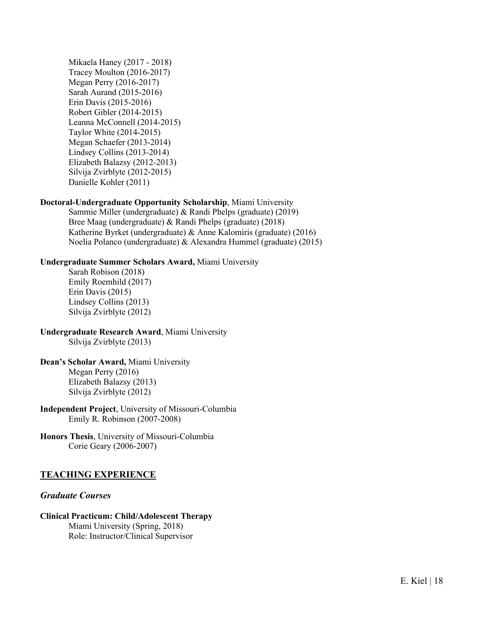Mikaela Haney (2017 - 2018) Tracey Moulton (2016-2017) Megan Perry (2016-2017) Sarah Aurand (2015-2016) Erin Davis (2015-2016) Robert Gibler (2014-2015) Leanna McConnell (2014-2015) Taylor White (2014-2015) Megan Schaefer (2013-2014) Lindsey Collins (2013-2014) Elizabeth Balazsy (2012-2013) Silvija Zvirblyte (2012-2015) Danielle Kohler (2011)

#### **Doctoral-Undergraduate Opportunity Scholarship**, Miami University

Sammie Miller (undergraduate) & Randi Phelps (graduate) (2019) Bree Maag (undergraduate) & Randi Phelps (graduate) (2018) Katherine Byrket (undergraduate) & Anne Kalomiris (graduate) (2016) Noelia Polanco (undergraduate) & Alexandra Hummel (graduate) (2015)

#### **Undergraduate Summer Scholars Award,** Miami University

Sarah Robison (2018) Emily Roemhild (2017) Erin Davis (2015) Lindsey Collins (2013) Silvija Zvirblyte (2012)

**Undergraduate Research Award**, Miami University Silvija Zvirblyte (2013)

**Dean's Scholar Award,** Miami University Megan Perry (2016) Elizabeth Balazsy (2013) Silvija Zvirblyte (2012)

**Independent Project**, University of Missouri-Columbia Emily R. Robinson (2007-2008)

**Honors Thesis**, University of Missouri-Columbia Corie Geary (2006-2007)

#### **TEACHING EXPERIENCE**

#### *Graduate Courses*

# **Clinical Practicum: Child/Adolescent Therapy**

Miami University (Spring, 2018) Role: Instructor/Clinical Supervisor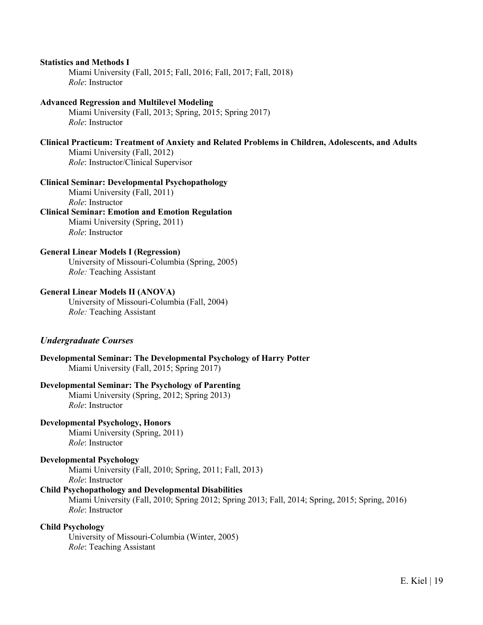#### **Statistics and Methods I**

Miami University (Fall, 2015; Fall, 2016; Fall, 2017; Fall, 2018) *Role*: Instructor

#### **Advanced Regression and Multilevel Modeling**

Miami University (Fall, 2013; Spring, 2015; Spring 2017) *Role*: Instructor

#### **Clinical Practicum: Treatment of Anxiety and Related Problems in Children, Adolescents, and Adults**

Miami University (Fall, 2012) *Role*: Instructor/Clinical Supervisor

#### **Clinical Seminar: Developmental Psychopathology**

Miami University (Fall, 2011) *Role*: Instructor **Clinical Seminar: Emotion and Emotion Regulation** Miami University (Spring, 2011)

*Role*: Instructor

#### **General Linear Models I (Regression)**

University of Missouri-Columbia (Spring, 2005) *Role:* Teaching Assistant

#### **General Linear Models II (ANOVA)**

University of Missouri-Columbia (Fall, 2004) *Role:* Teaching Assistant

#### *Undergraduate Courses*

**Developmental Seminar: The Developmental Psychology of Harry Potter** Miami University (Fall, 2015; Spring 2017)

#### **Developmental Seminar: The Psychology of Parenting**

Miami University (Spring, 2012; Spring 2013) *Role*: Instructor

# **Developmental Psychology, Honors**

Miami University (Spring, 2011) *Role*: Instructor

#### **Developmental Psychology**

Miami University (Fall, 2010; Spring, 2011; Fall, 2013) *Role*: Instructor

#### **Child Psychopathology and Developmental Disabilities**

Miami University (Fall, 2010; Spring 2012; Spring 2013; Fall, 2014; Spring, 2015; Spring, 2016) *Role*: Instructor

#### **Child Psychology**

University of Missouri-Columbia (Winter, 2005) *Role*: Teaching Assistant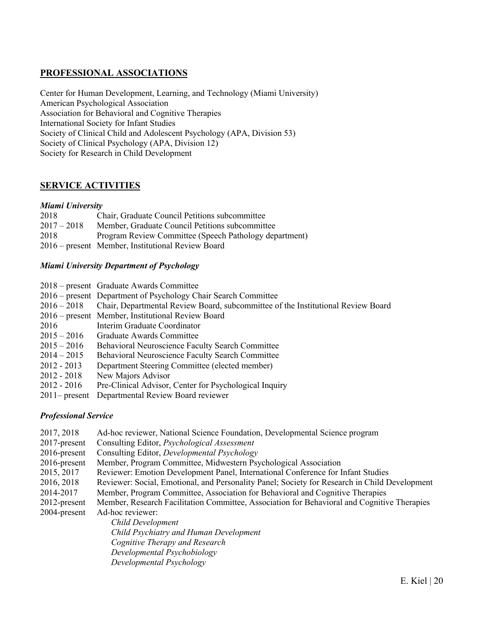# **PROFESSIONAL ASSOCIATIONS**

Center for Human Development, Learning, and Technology (Miami University) American Psychological Association Association for Behavioral and Cognitive Therapies International Society for Infant Studies Society of Clinical Child and Adolescent Psychology (APA, Division 53) Society of Clinical Psychology (APA, Division 12) Society for Research in Child Development

# **SERVICE ACTIVITIES**

#### *Miami University*

| 2018          | Chair, Graduate Council Petitions subcommittee         |
|---------------|--------------------------------------------------------|
| $2017 - 2018$ | Member, Graduate Council Petitions subcommittee        |
| 2018          | Program Review Committee (Speech Pathology department) |
|               | 2016 – present Member, Institutional Review Board      |

#### *Miami University Department of Psychology*

|                  | 2018 – present Graduate Awards Committee                                                     |
|------------------|----------------------------------------------------------------------------------------------|
|                  | 2016 – present Department of Psychology Chair Search Committee                               |
|                  | 2016 – 2018 Chair, Departmental Review Board, subcommittee of the Institutional Review Board |
|                  | 2016 – present Member, Institutional Review Board                                            |
| 2016             | Interim Graduate Coordinator                                                                 |
| $2015 - 2016$    | Graduate Awards Committee                                                                    |
| $2015 - 2016$    | <b>Behavioral Neuroscience Faculty Search Committee</b>                                      |
| $2014 - 2015$    | Behavioral Neuroscience Faculty Search Committee                                             |
| $2012 - 2013$    | Department Steering Committee (elected member)                                               |
| 2012 - 2018      | New Majors Advisor                                                                           |
| $2012 - 2016$    | Pre-Clinical Advisor, Center for Psychological Inquiry                                       |
| $2011$ – present | Departmental Review Board reviewer                                                           |

#### *Professional Service*

- 2017, 2018 Ad-hoc reviewer, National Science Foundation, Developmental Science program
- 2017-present Consulting Editor, *Psychological Assessment*
- 2016-present Consulting Editor, *Developmental Psychology*
- 2016-present Member, Program Committee, Midwestern Psychological Association
- 2015, 2017 Reviewer: Emotion Development Panel, International Conference for Infant Studies
- 2016, 2018 Reviewer: Social, Emotional, and Personality Panel; Society for Research in Child Development
- 2014-2017 Member, Program Committee, Association for Behavioral and Cognitive Therapies
- 2012-present Member, Research Facilitation Committee, Association for Behavioral and Cognitive Therapies
- 2004-present Ad-hoc reviewer:

*Child Development Child Psychiatry and Human Development Cognitive Therapy and Research Developmental Psychobiology Developmental Psychology*